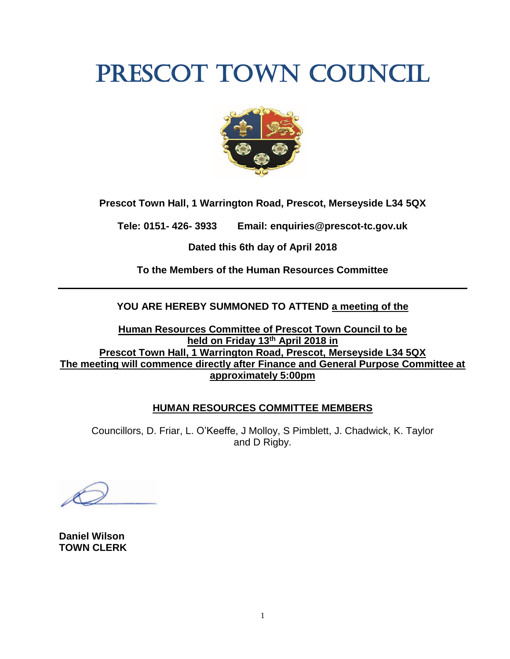# PRESCOT TOWN COUNCIL



**Prescot Town Hall, 1 Warrington Road, Prescot, Merseyside L34 5QX**

**Tele: 0151- 426- 3933 Email: enquiries@prescot-tc.gov.uk**

**Dated this 6th day of April 2018**

**To the Members of the Human Resources Committee**

# **YOU ARE HEREBY SUMMONED TO ATTEND a meeting of the**

**Human Resources Committee of Prescot Town Council to be held on Friday 13th April 2018 in Prescot Town Hall, 1 Warrington Road, Prescot, Merseyside L34 5QX The meeting will commence directly after Finance and General Purpose Committee at approximately 5:00pm**

### **HUMAN RESOURCES COMMITTEE MEMBERS**

Councillors, D. Friar, L. O'Keeffe, J Molloy, S Pimblett, J. Chadwick, K. Taylor and D Rigby.

**Daniel Wilson TOWN CLERK**